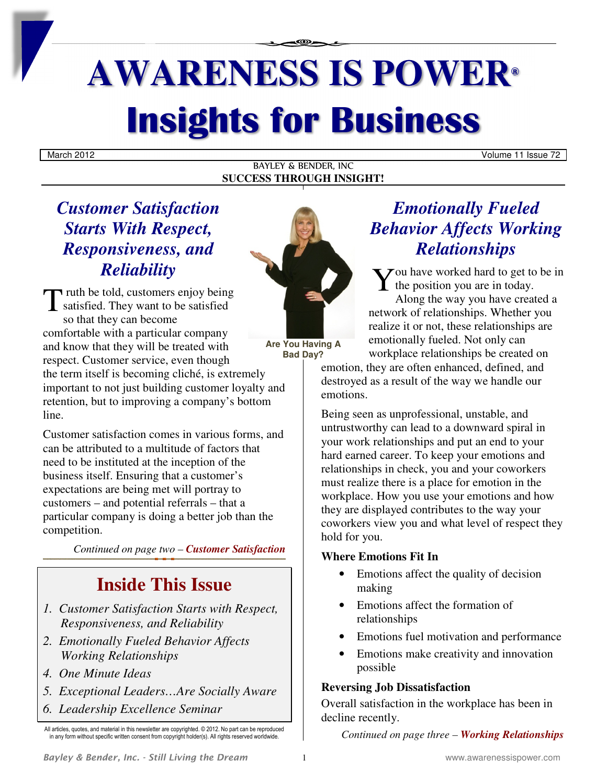# **AWARENESS IS POWER® Insights for Business**

BAYLEY & BENDER, INC **SUCCESS THROUGH INSIGHT!**

March 2012 Volume 11 Issue 72

## *Customer Satisfaction Starts With Respect, Responsiveness, and Reliability*

Truth be told, customers enjoy being T ruth be told, customers enjoy being<br>satisfied. They want to be satisfied<br>as that they can become so that they can become comfortable with a particular company and know that they will be treated with respect. Customer service, even though the term itself is becoming cliché, is extremely important to not just building customer loyalty and retention, but to improving a company's bottom line.

Customer satisfaction comes in various forms, and can be attributed to a multitude of factors that need to be instituted at the inception of the business itself. Ensuring that a customer's expectations are being met will portray to customers – and potential referrals – that a particular company is doing a better job than the competition.

*Continued on page two – Customer Satisfaction*

## **Inside This Issue**

- *1. Customer Satisfaction Starts with Respect, Responsiveness, and Reliability*
- *2. Emotionally Fueled Behavior Affects Working Relationships*
- *4. One Minute Ideas*
- *5. Exceptional Leaders…Are Socially Aware*
- *6. Leadership Excellence Seminar*

All articles, quotes, and material in this newsletter are copyrighted. © 2012. No part can be reproduced in any form without specific written consent from copyright holder(s). All rights reserved worldwide



**Are You Having A Bad Day?** 

## *Emotionally Fueled Behavior Affects Working Relationships*

 $\sum_{\substack{\text{the position you are in today.} \\ \text{Alon a the way you have created a}}}$  $\mathbf{I}$  the position you are in today.

Along the way you have created a network of relationships. Whether you realize it or not, these relationships are emotionally fueled. Not only can workplace relationships be created on

emotion, they are often enhanced, defined, and destroyed as a result of the way we handle our emotions.

Being seen as unprofessional, unstable, and untrustworthy can lead to a downward spiral in your work relationships and put an end to your hard earned career. To keep your emotions and relationships in check, you and your coworkers must realize there is a place for emotion in the workplace. How you use your emotions and how they are displayed contributes to the way your coworkers view you and what level of respect they hold for you.

#### **Where Emotions Fit In**

- Emotions affect the quality of decision making
- Emotions affect the formation of relationships
- Emotions fuel motivation and performance
- Emotions make creativity and innovation possible

#### **Reversing Job Dissatisfaction**

Overall satisfaction in the workplace has been in decline recently.

*Continued on page three – Working Relationships*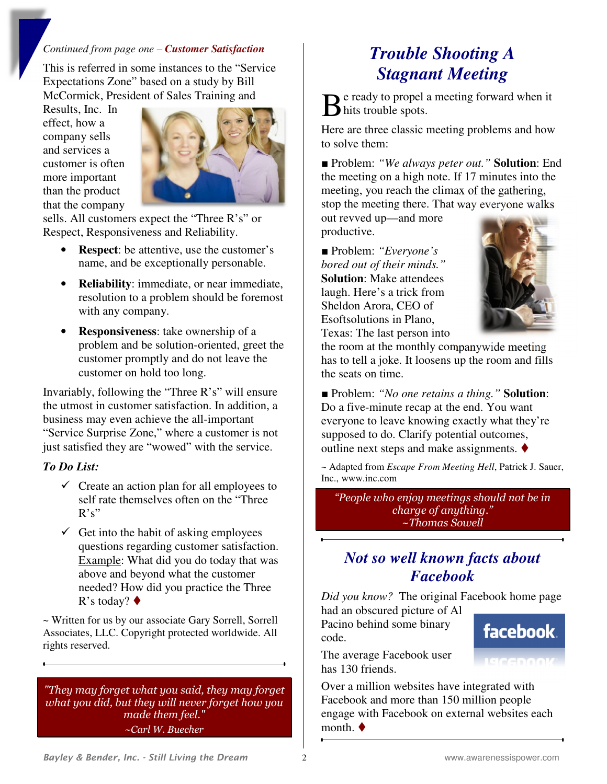#### *Continued from page one – Customer Satisfaction*

This is referred in some instances to the "Service Expectations Zone" based on a study by Bill McCormick, President of Sales Training and

Results, Inc. In effect, how a company sells and services a customer is often more important than the product that the company



sells. All customers expect the "Three R's" or Respect, Responsiveness and Reliability.

- **Respect**: be attentive, use the customer's name, and be exceptionally personable.
- **Reliability**: immediate, or near immediate, resolution to a problem should be foremost with any company.
- **Responsiveness**: take ownership of a problem and be solution-oriented, greet the customer promptly and do not leave the customer on hold too long.

Invariably, following the "Three R's" will ensure the utmost in customer satisfaction. In addition, a business may even achieve the all-important "Service Surprise Zone," where a customer is not just satisfied they are "wowed" with the service.

#### *To Do List:*

- $\checkmark$  Create an action plan for all employees to self rate themselves often on the "Three  $R's$ "
- $\checkmark$  Get into the habit of asking employees questions regarding customer satisfaction. Example: What did you do today that was above and beyond what the customer needed? How did you practice the Three R's today?  $\blacklozenge$

*~* Written for us by our associate Gary Sorrell, Sorrell Associates, LLC. Copyright protected worldwide. All rights reserved.

*"They may forget what you said, they may forget what you did, but they will never forget how you made them feel." ~Carl W. Buecher* 

## *Trouble Shooting A Stagnant Meeting*

e ready to propel a meeting forward when it Be ready to propel a<br>hits trouble spots.

Here are three classic meeting problems and how to solve them:

■ Problem: *"We always peter out.*" **Solution**: End the meeting on a high note. If 17 minutes into the meeting, you reach the climax of the gathering, stop the meeting there. That way everyone walks

out revved up—and more productive.

■ Problem: *"Everyone's bored out of their minds."* **Solution**: Make attendees laugh. Here's a trick from Sheldon Arora, CEO of Esoftsolutions in Plano, Texas: The last person into



the room at the monthly companywide meeting has to tell a joke. It loosens up the room and fills the seats on time.

■ Problem: *"No one retains a thing.*" **Solution**: Do a five-minute recap at the end. You want everyone to leave knowing exactly what they're supposed to do. Clarify potential outcomes, outline next steps and make assignments.  $\blacklozenge$ 

~ Adapted from *Escape From Meeting Hell*, Patrick J. Sauer, Inc., www.inc.com

*"People who enjoy meetings should not be in charge of anything." ~Thomas Sowell*

## *Not so well known facts about Facebook*

*Did you know?* The original Facebook home page

had an obscured picture of Al Pacino behind some binary code.



The average Facebook user has 130 friends.

Over a million websites have integrated with Facebook and more than 150 million people engage with Facebook on external websites each month.  $\blacklozenge$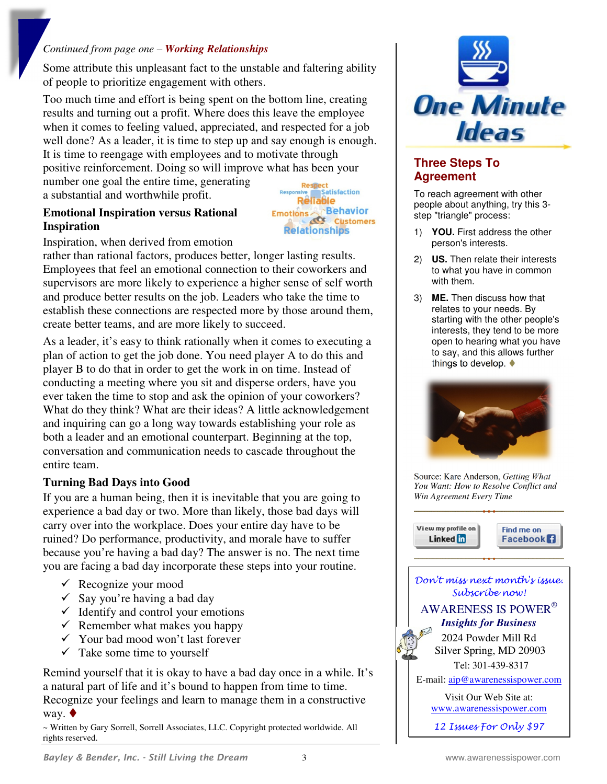#### *Continued from page one – Working Relationships*

Some attribute this unpleasant fact to the unstable and faltering ability of people to prioritize engagement with others.

Too much time and effort is being spent on the bottom line, creating results and turning out a profit. Where does this leave the employee when it comes to feeling valued, appreciated, and respected for a job well done? As a leader, it is time to step up and say enough is enough. It is time to reengage with employees and to motivate through positive reinforcement. Doing so will improve what has been your

number one goal the entire time, generating a substantial and worthwhile profit.

#### **Emotional Inspiration versus Rational Inspiration**

Respect<br>
Insive Satisfaction<br>
Reliable Emotions Behavior Customers **Relationships** 

Inspiration, when derived from emotion

rather than rational factors, produces better, longer lasting results. Employees that feel an emotional connection to their coworkers and supervisors are more likely to experience a higher sense of self worth and produce better results on the job. Leaders who take the time to establish these connections are respected more by those around them, create better teams, and are more likely to succeed.

As a leader, it's easy to think rationally when it comes to executing a plan of action to get the job done. You need player A to do this and player B to do that in order to get the work in on time. Instead of conducting a meeting where you sit and disperse orders, have you ever taken the time to stop and ask the opinion of your coworkers? What do they think? What are their ideas? A little acknowledgement and inquiring can go a long way towards establishing your role as both a leader and an emotional counterpart. Beginning at the top, conversation and communication needs to cascade throughout the entire team.

#### **Turning Bad Days into Good**

If you are a human being, then it is inevitable that you are going to experience a bad day or two. More than likely, those bad days will carry over into the workplace. Does your entire day have to be ruined? Do performance, productivity, and morale have to suffer because you're having a bad day? The answer is no. The next time you are facing a bad day incorporate these steps into your routine.

- $\checkmark$  Recognize your mood
- $\checkmark$  Say you're having a bad day
- $\checkmark$  Identify and control your emotions
- $\checkmark$  Remember what makes you happy
- $\checkmark$  Your bad mood won't last forever
- $\checkmark$  Take some time to yourself

Remind yourself that it is okay to have a bad day once in a while. It's a natural part of life and it's bound to happen from time to time. Recognize your feelings and learn to manage them in a constructive way.  $\blacklozenge$ 

~ Written by Gary Sorrell, Sorrell Associates, LLC. Copyright protected worldwide. All rights reserved.



#### **Three Steps To Agreement**

To reach agreement with other people about anything, try this 3 step "triangle" process:

- 1) **YOU.** First address the other person's interests.
- 2) **US.** Then relate their interests to what you have in common with them.
- 3) **ME.** Then discuss how that relates to your needs. By starting with the other people's interests, they tend to be more open to hearing what you have to say, and this allows further things to develop.  $\blacklozenge$



Source: Kare Anderson, *Getting What You Want: How to Resolve Conflict and Win Agreement Every Time*

View my profile on **Linked** in

Find me on **Facebook**